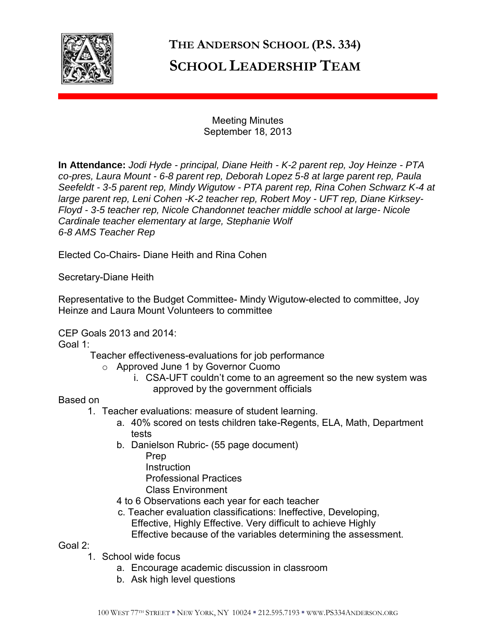

## **THE ANDERSON SCHOOL (P.S. 334) SCHOOL LEADERSHIP TEAM**

Meeting Minutes September 18, 2013

**In Attendance:** *Jodi Hyde - principal, Diane Heith - K-2 parent rep, Joy Heinze - PTA co-pres, Laura Mount - 6-8 parent rep, Deborah Lopez 5-8 at large parent rep, Paula Seefeldt - 3-5 parent rep, Mindy Wigutow - PTA parent rep, Rina Cohen Schwarz K-4 at large parent rep, Leni Cohen -K-2 teacher rep, Robert Moy - UFT rep, Diane Kirksey-Floyd - 3-5 teacher rep, Nicole Chandonnet teacher middle school at large- Nicole Cardinale teacher elementary at large, Stephanie Wolf 6-8 AMS Teacher Rep* 

Elected Co-Chairs- Diane Heith and Rina Cohen

Secretary-Diane Heith

Representative to the Budget Committee- Mindy Wigutow-elected to committee, Joy Heinze and Laura Mount Volunteers to committee

CEP Goals 2013 and 2014:

Goal 1:

Teacher effectiveness-evaluations for job performance

- o Approved June 1 by Governor Cuomo
	- i. CSA-UFT couldn't come to an agreement so the new system was approved by the government officials

Based on

- 1. Teacher evaluations: measure of student learning.
	- a. 40% scored on tests children take-Regents, ELA, Math, Department tests
	- b. Danielson Rubric- (55 page document) Prep
		- **Instruction**
		-
		- Professional Practices
		- Class Environment
	- 4 to 6 Observations each year for each teacher
	- c. Teacher evaluation classifications: Ineffective, Developing, Effective, Highly Effective. Very difficult to achieve Highly Effective because of the variables determining the assessment.

Goal 2:

- 1. School wide focus
	- a. Encourage academic discussion in classroom
	- b. Ask high level questions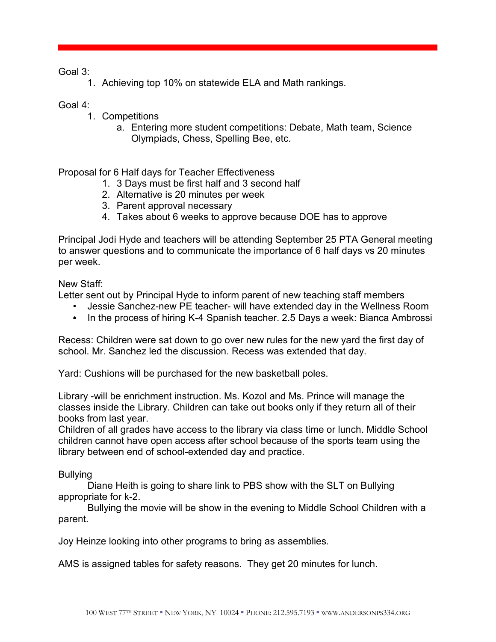Goal 3:

1. Achieving top 10% on statewide ELA and Math rankings.

Goal 4:

- 1. Competitions
	- a. Entering more student competitions: Debate, Math team, Science Olympiads, Chess, Spelling Bee, etc.

Proposal for 6 Half days for Teacher Effectiveness

- 1. 3 Days must be first half and 3 second half
- 2. Alternative is 20 minutes per week
- 3. Parent approval necessary
- 4. Takes about 6 weeks to approve because DOE has to approve

Principal Jodi Hyde and teachers will be attending September 25 PTA General meeting to answer questions and to communicate the importance of 6 half days vs 20 minutes per week.

New Staff:

Letter sent out by Principal Hyde to inform parent of new teaching staff members

- Jessie Sanchez-new PE teacher- will have extended day in the Wellness Room
- In the process of hiring K-4 Spanish teacher. 2.5 Days a week: Bianca Ambrossi

Recess: Children were sat down to go over new rules for the new yard the first day of school. Mr. Sanchez led the discussion. Recess was extended that day.

Yard: Cushions will be purchased for the new basketball poles.

Library -will be enrichment instruction. Ms. Kozol and Ms. Prince will manage the classes inside the Library. Children can take out books only if they return all of their books from last year.

Children of all grades have access to the library via class time or lunch. Middle School children cannot have open access after school because of the sports team using the library between end of school-extended day and practice.

Bullying

 Diane Heith is going to share link to PBS show with the SLT on Bullying appropriate for k-2.

 Bullying the movie will be show in the evening to Middle School Children with a parent.

Joy Heinze looking into other programs to bring as assemblies.

AMS is assigned tables for safety reasons. They get 20 minutes for lunch.